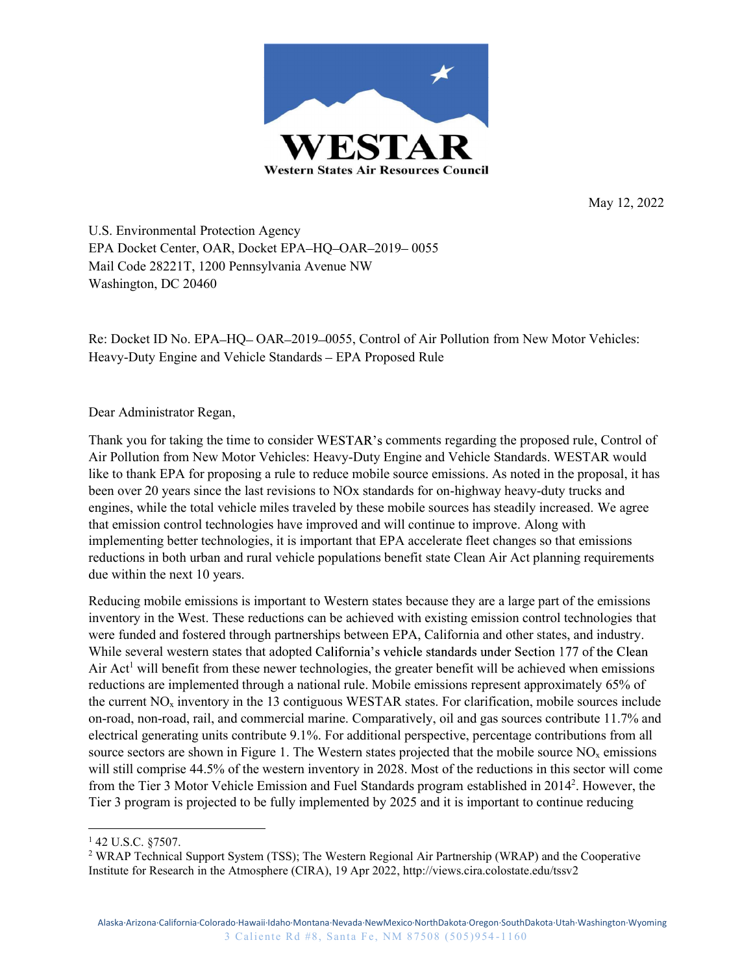

May 12, 2022

U.S. Environmental Protection Agency EPA Docket Center, OAR, Docket EPA-HQ-OAR-2019-0055 Mail Code 28221T, 1200 Pennsylvania Avenue NW Washington, DC 20460

Re: Docket ID No. EPA-HQ-OAR-2019-0055, Control of Air Pollution from New Motor Vehicles: Heavy-Duty Engine and Vehicle Standards - EPA Proposed Rule

Dear Administrator Regan,

Thank you for taking the time to consider WESTAR's comments regarding the proposed rule, Control of Air Pollution from New Motor Vehicles: Heavy-Duty Engine and Vehicle Standards. WESTAR would like to thank EPA for proposing a rule to reduce mobile source emissions. As noted in the proposal, it has been over 20 years since the last revisions to NOx standards for on-highway heavy-duty trucks and engines, while the total vehicle miles traveled by these mobile sources has steadily increased. We agree that emission control technologies have improved and will continue to improve. Along with implementing better technologies, it is important that EPA accelerate fleet changes so that emissions reductions in both urban and rural vehicle populations benefit state Clean Air Act planning requirements due within the next 10 years.

isse reauctions can be ancheved with existing emission control technologies that through partnerships between EPA, California and other states, and industry.<br>
the set and adopted California's vehicle standards under Sectio Reducing mobile emissions is important to Western states because they are a large part of the emissions inventory in the West. These reductions can be achieved with existing emission control technologies that were funded and fostered through partnerships between EPA, California and other states, and industry. While several western states that adopted California's vehicle standards under Section 177 of the Clean Air Act<sup>1</sup> will benefit from these newer technologies, the greater benefit will be achieved when emissions reductions are implemented through a national rule. Mobile emissions represent approximately 65% of the current  $NO<sub>x</sub>$  inventory in the 13 contiguous WESTAR states. For clarification, mobile sources include on-road, non-road, rail, and commercial marine. Comparatively, oil and gas sources contribute 11.7% and electrical generating units contribute 9.1%. For additional perspective, percentage contributions from all source sectors are shown in Figure 1. The Western states projected that the mobile source  $NO<sub>x</sub>$  emissions will still comprise 44.5% of the western inventory in 2028. Most of the reductions in this sector will come from the Tier 3 Motor Vehicle Emission and Fuel Standards program established in 20142 . However, the Tier 3 program is projected to be fully implemented by 2025 and it is important to continue reducing  $\frac{1}{42 \text{ U.S.C. } }$  \$7507.

<sup>&</sup>lt;sup>1</sup> 42 U.S.C. §7507.<br><sup>2</sup> WRAP Technical Support System (TSS); The Western Regional Air Partnership (WRAP) and the Cooperative Institute for Research in the Atmosphere (CIRA), 19 Apr 2022, http://views.cira.colostate.edu/tssv2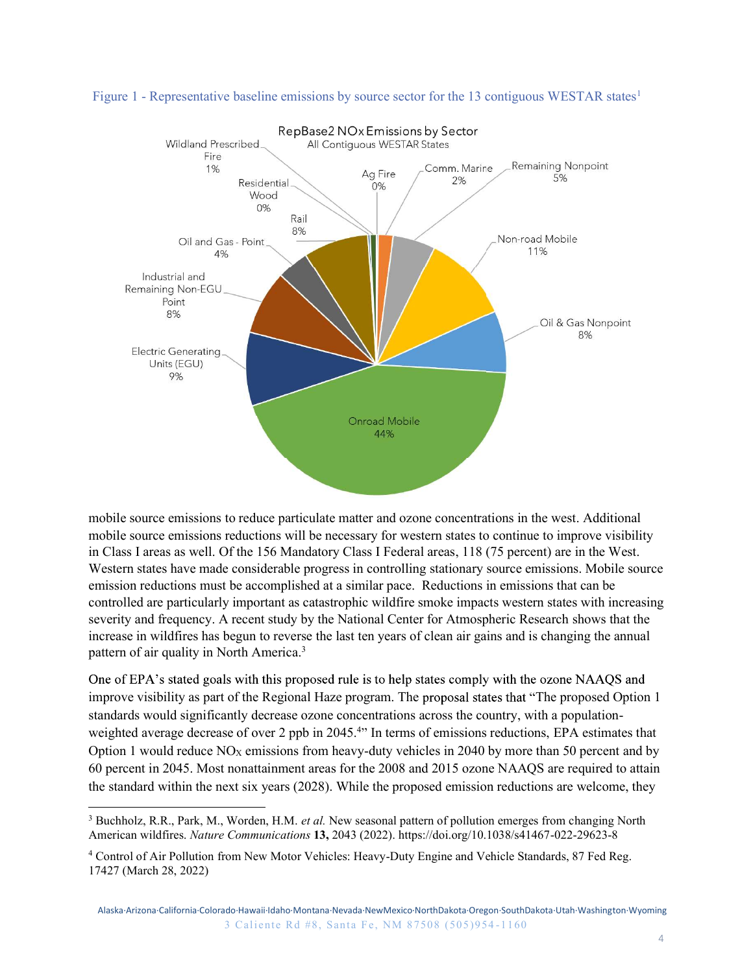



mobile source emissions reductions will be necessary for western states to continue to improve visibility Western states have made considerable progress in controlling stationary source emissions. Mobile source emission reductions must be accomplished at a similar pace. Reductions in emissions that can be controlled are particularly important as catastrophic wildfire smoke impacts western states with increasing severity and frequency. A recent study by the National Center for Atmospheric Research shows that the increase in wildfires has begun to reverse the last ten years of clean air gains and is changing the annual pattern of air quality in North America.3 and Mobile<br>
44%<br>
44%<br>
1 For western states to continue to improve visibility<br>
1 Federal areas, 118 (75 percent) are in the West.<br>
controlling stationary source emissions. Mobile source<br>
tar pace. Reductions in emissions th anothile source emissions to reduce particulate matter and ozone concentrations in the west. Additional<br>mobile source emissions reductions will be necessary for western states to continue to improve visibility<br>in Class I a mobile source emissions to reduce particulate matter and ozone concentrations in the west. Additional<br>mobile source emissions reductions will be necessary for western stats to continue to improve visibility<br>in Class I area mobile source emissions to reduce particulate matter and ozone concentrations in the west. Additional<br>mobile source emissions reductions will be necessary for western states to continue to improve visibility<br>in Class I arc mobie source emissions to reduce pertuculate matter and ozone concentrations in the west. Additional<br>mobie source emissions reductions will be necessary for western states to continue to improve visibility<br>in Class I areas

The present study by the National Center for Atmospheric Research shows that the begun to reverse the last ten years of clean air gains and is changing the annual orth America.<sup>3</sup><br>So with this proposed rule is to help stat improve visibility as part of the Regional Haze program. The proposal states that "The proposed Option 1" standards would significantly decrease ozone concentrations across the country, with a populationweighted average decrease of over 2 ppb in 2045.<sup>4</sup> In terms of emissions reductions, EPA estimates that IT Cass 1 areas as well. Of the 150 Mandatory Class 1 recareal areas, 116 (17 per LIV at<br>System states have made considerable progress in controlling stationary source<br>emission reductions must be accomplished at a similar

<sup>&</sup>lt;sup>3</sup> Buchholz, R.R., Park, M., Worden, H.M. *et al.* New seasonal pattern of pollution emerges from changing North

<sup>4</sup> Control of Air Pollution from New Motor Vehicles: Heavy-Duty Engine and Vehicle Standards, 87 Fed Reg.